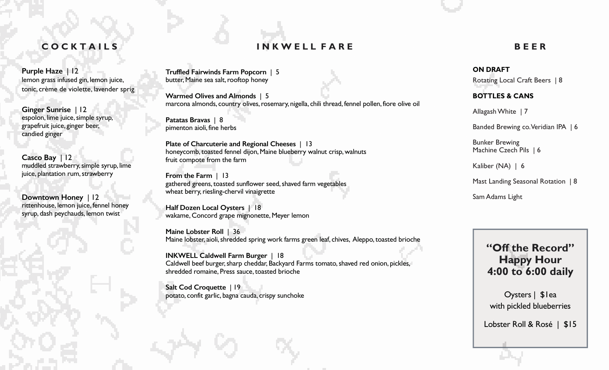#### **C O C K T A I L S**

**Purple Haze** | 12 lemon grass infused gin, lemon juice, tonic, crème de violette, lavender sprig

**Ginger Sunrise** | 12 espolon, lime juice, simple syrup, grapefruit juice, ginger beer, candied ginger

**Casco Bay** | 12 muddled strawberry, simple syrup, lime juice, plantation rum, strawberry

**Downtown Honey** | 12 rittenhouse, lemon juice, fennel honey syrup, dash peychauds, lemon twist

**Truffled Fairwinds Farm Popcorn** | 5 butter, Maine sea salt, rooftop honey

**Warmed Olives and Almonds** | 5 marcona almonds, country olives, rosemary, nigella, chili thread, fennel pollen, fiore olive oil

**I N K W E L L F A R E**

**Patatas Bravas** | 8 pimenton aioli, fine herbs

**Plate of Charcuterie and Regional Cheeses** | 13 honeycomb, toasted fennel dijon, Maine blueberry walnut crisp, walnuts fruit compote from the farm

**From the Farm** | 13 gathered greens, toasted sunflower seed, shaved farm vegetables wheat berry, riesling-chervil vinaigrette

**Half Dozen Local Oysters** | 18 wakame, Concord grape mignonette, Meyer lemon

**Maine Lobster Roll** | 36 Maine lobster, aioli, shredded spring work farms green leaf, chives, Aleppo, toasted brioche

**INKWELL Caldwell Farm Burger** | 18 Caldwell beef burger, sharp cheddar, Backyard Farms tomato, shaved red onion, pickles, shredded romaine, Press sauce, toasted brioche

**Salt Cod Croquette** | 19 potato, confit garlic, bagna cauda, crispy sunchoke

### **ON DRAFT**

Rotating Local Craft Beers | 8

**B E E R**

#### **BOTTLES & CANS**

Allagash White | 7

Banded Brewing co. Veridian IPA | 6

Bunker Brewing Machine Czech Pils | 6

Kaliber (NA) | 6

Mast Landing Seasonal Rotation | 8

Sam Adams Light

# **"Off the Record" Happy Hour 4:00 to 6:00 daily**

Oysters | \$1ea with pickled blueberries

Lobster Roll & Rosé | \$15